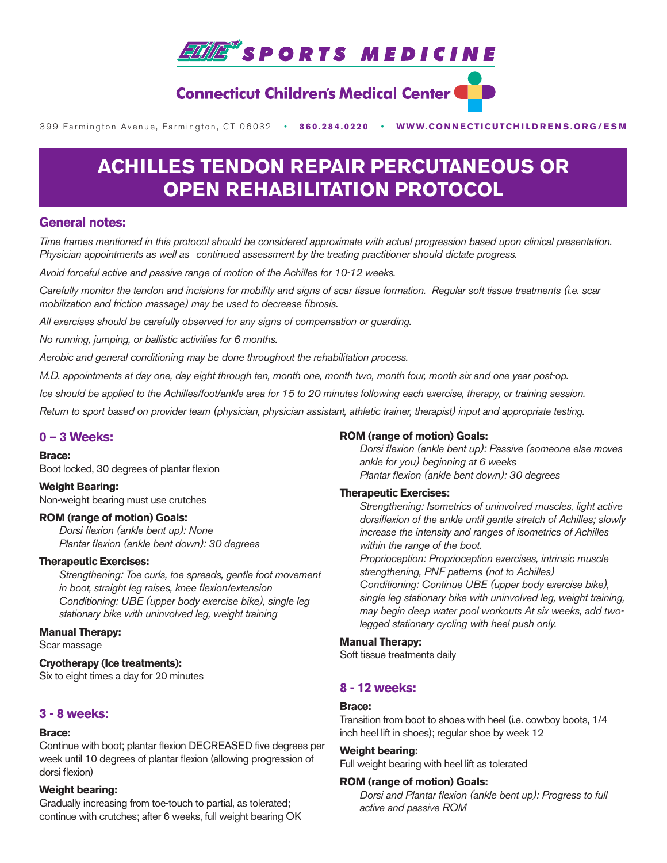

# **Connecticut Children's Medical Center**

399 Farmington Avenue, Farmington, CT 06032•**860.284.0220**•**WWW.CONNECTICUTCHILDRENS.ORG/ESM**

# **ACHILLES TENDON REPAIR PERCUTANEOUS OR OPEN REHABILITATION PROTOCOL**

# **General notes:**

*Time frames mentioned in this protocol should be considered approximate with actual progression based upon clinical presentation. Physician appointments as well as continued assessment by the treating practitioner should dictate progress.* 

*Avoid forceful active and passive range of motion of the Achilles for 10-12 weeks.*

*Carefully monitor the tendon and incisions for mobility and signs of scar tissue formation. Regular soft tissue treatments (i.e. scar mobilization and friction massage) may be used to decrease fibrosis.* 

*All exercises should be carefully observed for any signs of compensation or guarding.* 

*No running, jumping, or ballistic activities for 6 months.*

*Aerobic and general conditioning may be done throughout the rehabilitation process.* 

*M.D. appointments at day one, day eight through ten, month one, month two, month four, month six and one year post-op.*

*Ice should be applied to the Achilles/foot/ankle area for 15 to 20 minutes following each exercise, therapy, or training session.*

*Return to sport based on provider team (physician, physician assistant, athletic trainer, therapist) input and appropriate testing.*

# **0 – 3 Weeks:**

#### **Brace:**

Boot locked, 30 degrees of plantar flexion

**Weight Bearing:**  Non-weight bearing must use crutches

#### **ROM (range of motion) Goals:**

*Dorsi flexion (ankle bent up): None Plantar flexion (ankle bent down): 30 degrees*

#### **Therapeutic Exercises:**

 *Strengthening: Toe curls, toe spreads, gentle foot movement in boot, straight leg raises, knee flexion/extension Conditioning: UBE (upper body exercise bike), single leg stationary bike with uninvolved leg, weight training* 

#### **Manual Therapy:**

Scar massage

# **Cryotherapy (Ice treatments):**

Six to eight times a day for 20 minutes

# **3 - 8 weeks:**

#### **Brace:**

Continue with boot; plantar flexion DECREASED five degrees per week until 10 degrees of plantar flexion (allowing progression of dorsi flexion)

# **Weight bearing:**

Gradually increasing from toe-touch to partial, as tolerated; continue with crutches; after 6 weeks, full weight bearing OK

# **ROM (range of motion) Goals:**

 *Dorsi flexion (ankle bent up): Passive (someone else moves ankle for you) beginning at 6 weeks Plantar flexion (ankle bent down): 30 degrees*

# **Therapeutic Exercises:**

 *Strengthening: Isometrics of uninvolved muscles, light active dorsiflexion of the ankle until gentle stretch of Achilles; slowly increase the intensity and ranges of isometrics of Achilles within the range of the boot.*

*Proprioception: Proprioception exercises, intrinsic muscle strengthening, PNF patterns (not to Achilles) Conditioning: Continue UBE (upper body exercise bike), single leg stationary bike with uninvolved leg, weight training,* 

*may begin deep water pool workouts At six weeks, add twolegged stationary cycling with heel push only.*

# **Manual Therapy:**

Soft tissue treatments daily

# **8 - 12 weeks:**

# **Brace:**

Transition from boot to shoes with heel (i.e. cowboy boots, 1/4 inch heel lift in shoes); regular shoe by week 12

#### **Weight bearing:**

Full weight bearing with heel lift as tolerated

# **ROM (range of motion) Goals:**

 *Dorsi and Plantar flexion (ankle bent up): Progress to full active and passive ROM*